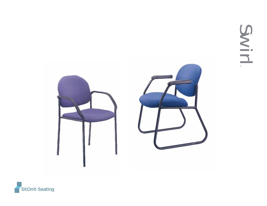